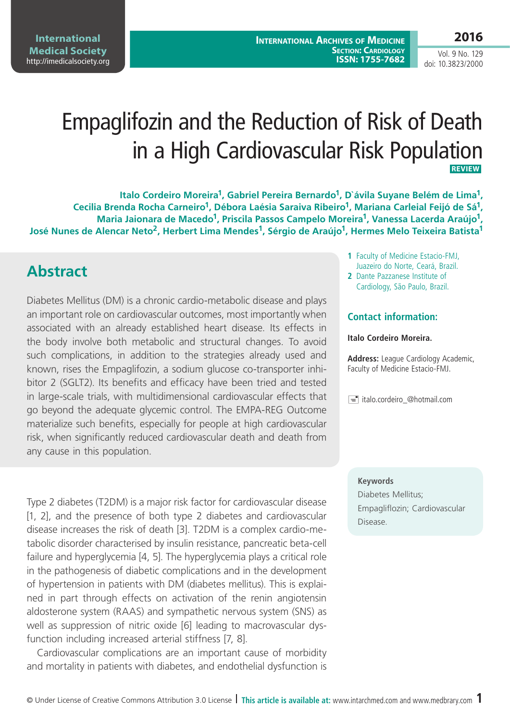Vol. 9 No. 129 doi: 10.3823/2000

# Empaglifozin and the Reduction of Risk of Death in a High Cardiovascular Risk Population **REVIEW**

Italo Cordeiro Moreira<sup>1</sup>, Gabriel Pereira Bernardo<sup>1</sup>, D'ávila Suyane Belém de Lima<sup>1</sup>, Cecilia Brenda Rocha Carneiro<sup>1</sup>, Débora Laésia Saraiva Ribeiro<sup>1</sup>, Mariana Carleial Feijó de Sá<sup>1</sup>, Maria Jaionara de Macedo<sup>1</sup>, Priscila Passos Campelo Moreira<sup>1</sup>, Vanessa Lacerda Araújo<sup>1</sup>, José Nunes de Alencar Neto<sup>2</sup>, Herbert Lima Mendes<sup>1</sup>, Sérgio de Araújo<sup>1</sup>, Hermes Melo Teixeira Batista<sup>1</sup>

## **Abstract**

Diabetes Mellitus (DM) is a chronic cardio-metabolic disease and plays an important role on cardiovascular outcomes, most importantly when associated with an already established heart disease. Its effects in the body involve both metabolic and structural changes. To avoid such complications, in addition to the strategies already used and known, rises the Empaglifozin, a sodium glucose co-transporter inhibitor 2 (SGLT2). Its benefits and efficacy have been tried and tested in large-scale trials, with multidimensional cardiovascular effects that go beyond the adequate glycemic control. The EMPA-REG Outcome materialize such benefits, especially for people at high cardiovascular risk, when significantly reduced cardiovascular death and death from any cause in this population.

Type 2 diabetes (T2DM) is a major risk factor for cardiovascular disease [1, 2], and the presence of both type 2 diabetes and cardiovascular disease increases the risk of death [3]. T2DM is a complex cardio-metabolic disorder characterised by insulin resistance, pancreatic beta-cell failure and hyperglycemia [4, 5]. The hyperglycemia plays a critical role in the pathogenesis of diabetic complications and in the development of hypertension in patients with DM (diabetes mellitus). This is explained in part through effects on activation of the renin angiotensin aldosterone system (RAAS) and sympathetic nervous system (SNS) as well as suppression of nitric oxide [6] leading to macrovascular dysfunction including increased arterial stiffness [7, 8].

Cardiovascular complications are an important cause of morbidity and mortality in patients with diabetes, and endothelial dysfunction is

- **1** Faculty of Medicine Estacio-FMJ, Juazeiro do Norte, Ceará, Brazil.
- **2** Dante Pazzanese Institute of Cardiology, São Paulo, Brazil.

### **Contact information:**

#### **Italo Cordeiro Moreira.**

**Address:** League Cardiology Academic, Faculty of Medicine Estacio-FMJ.

 $\equiv$  italo.cordeiro\_@hotmail.com

#### **Keywords**

Diabetes Mellitus; Empagliflozin; Cardiovascular Disease.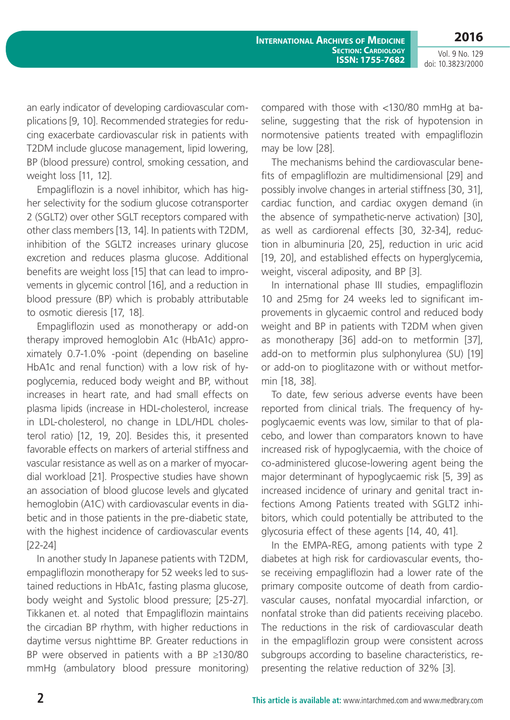**2016**

Vol. 9 No. 129 doi: 10.3823/2000

an early indicator of developing cardiovascular complications [9, 10]. Recommended strategies for reducing exacerbate cardiovascular risk in patients with T2DM include glucose management, lipid lowering, BP (blood pressure) control, smoking cessation, and weight loss [11, 12].

Empagliflozin is a novel inhibitor, which has higher selectivity for the sodium glucose cotransporter 2 (SGLT2) over other SGLT receptors compared with other class members [13, 14]. In patients with T2DM, inhibition of the SGLT2 increases urinary glucose excretion and reduces plasma glucose. Additional benefits are weight loss [15] that can lead to improvements in glycemic control [16], and a reduction in blood pressure (BP) which is probably attributable to osmotic dieresis [17, 18].

Empagliflozin used as monotherapy or add-on therapy improved hemoglobin A1c (HbA1c) approximately 0.7-1.0% -point (depending on baseline HbA1c and renal function) with a low risk of hypoglycemia, reduced body weight and BP, without increases in heart rate, and had small effects on plasma lipids (increase in HDL-cholesterol, increase in LDL-cholesterol, no change in LDL/HDL cholesterol ratio) [12, 19, 20]. Besides this, it presented favorable effects on markers of arterial stiffness and vascular resistance as well as on a marker of myocardial workload [21]. Prospective studies have shown an association of blood glucose levels and glycated hemoglobin (A1C) with cardiovascular events in diabetic and in those patients in the pre-diabetic state, with the highest incidence of cardiovascular events [22-24]

In another study In Japanese patients with T2DM, empagliflozin monotherapy for 52 weeks led to sustained reductions in HbA1c, fasting plasma glucose, body weight and Systolic blood pressure; [25-27]. Tikkanen et. al noted that Empagliflozin maintains the circadian BP rhythm, with higher reductions in daytime versus nighttime BP. Greater reductions in BP were observed in patients with a BP ≥130/80 mmHg (ambulatory blood pressure monitoring) compared with those with <130/80 mmHg at baseline, suggesting that the risk of hypotension in normotensive patients treated with empagliflozin may be low [28].

The mechanisms behind the cardiovascular benefits of empagliflozin are multidimensional [29] and possibly involve changes in arterial stiffness [30, 31], cardiac function, and cardiac oxygen demand (in the absence of sympathetic-nerve activation) [30], as well as cardiorenal effects [30, 32-34], reduction in albuminuria [20, 25], reduction in uric acid [19, 20], and established effects on hyperglycemia, weight, visceral adiposity, and BP [3].

In international phase III studies, empagliflozin 10 and 25mg for 24 weeks led to significant improvements in glycaemic control and reduced body weight and BP in patients with T2DM when given as monotherapy [36] add-on to metformin [37], add-on to metformin plus sulphonylurea (SU) [19] or add-on to pioglitazone with or without metformin [18, 38].

To date, few serious adverse events have been reported from clinical trials. The frequency of hypoglycaemic events was low, similar to that of placebo, and lower than comparators known to have increased risk of hypoglycaemia, with the choice of co-administered glucose-lowering agent being the major determinant of hypoglycaemic risk [5, 39] as increased incidence of urinary and genital tract infections Among Patients treated with SGLT2 inhibitors, which could potentially be attributed to the glycosuria effect of these agents [14, 40, 41].

In the EMPA-REG, among patients with type 2 diabetes at high risk for cardiovascular events, those receiving empagliflozin had a lower rate of the primary composite outcome of death from cardiovascular causes, nonfatal myocardial infarction, or nonfatal stroke than did patients receiving placebo. The reductions in the risk of cardiovascular death in the empagliflozin group were consistent across subgroups according to baseline characteristics, representing the relative reduction of 32% [3].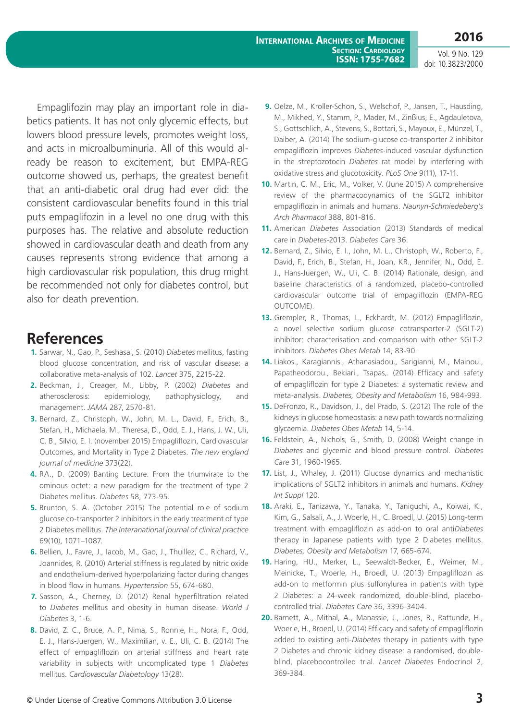Vol. 9 No. 129 doi: 10.3823/2000

Empaglifozin may play an important role in diabetics patients. It has not only glycemic effects, but lowers blood pressure levels, promotes weight loss, and acts in microalbuminuria. All of this would already be reason to excitement, but EMPA-REG outcome showed us, perhaps, the greatest benefit that an anti-diabetic oral drug had ever did: the consistent cardiovascular benefits found in this trial puts empaglifozin in a level no one drug with this purposes has. The relative and absolute reduction showed in cardiovascular death and death from any causes represents strong evidence that among a high cardiovascular risk population, this drug might be recommended not only for diabetes control, but also for death prevention.

### **References**

- **1.** Sarwar, N., Gao, P., Seshasai, S. (2010) *Diabetes* mellitus, fasting blood glucose concentration, and risk of vascular disease: a collaborative meta-analysis of 102. *Lancet* 375, 2215-22.
- **2.** Beckman, J., Creager, M., Libby, P. (2002) *Diabetes* and atherosclerosis: epidemiology, pathophysiology, and management. *JAMA* 287, 2570-81.
- **3.** Bernard, Z., Christoph, W., John, M. L., David, F., Erich, B., Stefan, H., Michaela, M., Theresa, D., Odd, E. J., Hans, J. W., Uli, C. B., Silvio, E. I. (november 2015) Empagliflozin, Cardiovascular Outcomes, and Mortality in Type 2 Diabetes. *The new england journal of medicine* 373(22).
- **4.** RA., D. (2009) Banting Lecture. From the triumvirate to the ominous octet: a new paradigm for the treatment of type 2 Diabetes mellitus. *Diabetes* 58, 773-95.
- **5.** Brunton, S. A. (October 2015) The potential role of sodium glucose co-transporter 2 inhibitors in the early treatment of type 2 Diabetes mellitus. *The Interanational journal of clinical practice* 69(10), 1071–1087.
- **6.** Bellien, J., Favre, J., Iacob, M., Gao, J., Thuillez, C., Richard, V., Joannides, R. (2010) Arterial stiffness is regulated by nitric oxide and endothelium-derived hyperpolarizing factor during changes in blood flow in humans. *Hypertension* 55, 674-680.
- **7.** Sasson, A., Cherney, D. (2012) Renal hyperfiltration related to *Diabetes* mellitus and obesity in human disease. *World J Diabetes* 3, 1-6.
- **8.** David, Z. C., Bruce, A. P., Nima, S., Ronnie, H., Nora, F., Odd, E. J., Hans-Juergen, W., Maximilian, v. E., Uli, C. B. (2014) The effect of empagliflozin on arterial stiffness and heart rate variability in subjects with uncomplicated type 1 *Diabetes* mellitus. *Cardiovascular Diabetology* 13(28).
- **9.** Oelze, M., Kroller-Schon, S., Welschof, P., Jansen, T., Hausding, M., Mikhed, Y., Stamm, P., Mader, M., Zinßius, E., Agdauletova, S., Gottschlich, A., Stevens, S., Bottari, S., Mayoux, E., Münzel, T., Daiber, A. (2014) The sodium-glucose co-transporter 2 inhibitor empagliflozin improves *Diabetes*-induced vascular dysfunction in the streptozotocin *Diabetes* rat model by interfering with oxidative stress and glucotoxicity. *PLoS One* 9(11), 17-11.
- **10.** Martin, C. M., Eric, M., Volker, V. (June 2015) A comprehensive review of the pharmacodynamics of the SGLT2 inhibitor empagliflozin in animals and humans. *Naunyn-Schmiedeberg's Arch Pharmacol* 388, 801-816.
- **11.** American *Diabetes* Association (2013) Standards of medical care in *Diabetes*-2013. *Diabetes Care* 36.
- **12.** Bernard, Z., Silvio, E. I., John, M. L., Christoph, W., Roberto, F., David, F., Erich, B., Stefan, H., Joan, KR., Jennifer, N., Odd, E. J., Hans-Juergen, W., Uli, C. B. (2014) Rationale, design, and baseline characteristics of a randomized, placebo-controlled cardiovascular outcome trial of empagliflozin (EMPA-REG OUTCOME).
- **13.** Grempler, R., Thomas, L., Eckhardt, M. (2012) Empagliflozin, a novel selective sodium glucose cotransporter-2 (SGLT-2) inhibitor: characterisation and comparison with other SGLT-2 inhibitors. *Diabetes Obes Metab* 14, 83-90.
- **14.** Liakos., Karagiannis., Athanasiadou., Sarigianni, M., Mainou., Papatheodorou., Bekiari., Tsapas,. (2014) Efficacy and safety of empagliflozin for type 2 Diabetes: a systematic review and meta-analysis. *Diabetes, Obesity and Metabolism* 16, 984-993.
- **15.** DeFronzo, R., Davidson, J., del Prado, S. (2012) The role of the kidneys in glucose homeostasis: a new path towards normalizing glycaemia. *Diabetes Obes Metab* 14, 5-14.
- **16.** Feldstein, A., Nichols, G., Smith, D. (2008) Weight change in *Diabetes* and glycemic and blood pressure control. *Diabetes Care* 31, 1960-1965.
- **17.** List, J., Whaley, J. (2011) Glucose dynamics and mechanistic implications of SGLT2 inhibitors in animals and humans. *Kidney Int Suppl* 120.
- **18.** Araki, E., Tanizawa, Y., Tanaka, Y., Taniguchi, A., Koiwai, K., Kim, G., Salsali, A., J. Woerle, H., C. Broedl, U. (2015) Long-term treatment with empagliflozin as add-on to oral anti*Diabetes* therapy in Japanese patients with type 2 Diabetes mellitus. *Diabetes, Obesity and Metabolism* 17, 665-674.
- **19.** Haring, HU., Merker, L., Seewaldt-Becker, E., Weimer, M., Meinicke, T., Woerle, H., Broedl, U. (2013) Empagliflozin as add-on to metformin plus sulfonylurea in patients with type 2 Diabetes: a 24-week randomized, double-blind, placebocontrolled trial. *Diabetes Care* 36, 3396-3404.
- **20.** Barnett, A., Mithal, A., Manassie, J., Jones, R., Rattunde, H., Woerle, H., Broedl, U. (2014) Efficacy and safety of empagliflozin added to existing anti-*Diabetes* therapy in patients with type 2 Diabetes and chronic kidney disease: a randomised, doubleblind, placebocontrolled trial. *Lancet Diabetes* Endocrinol 2, 369-384.